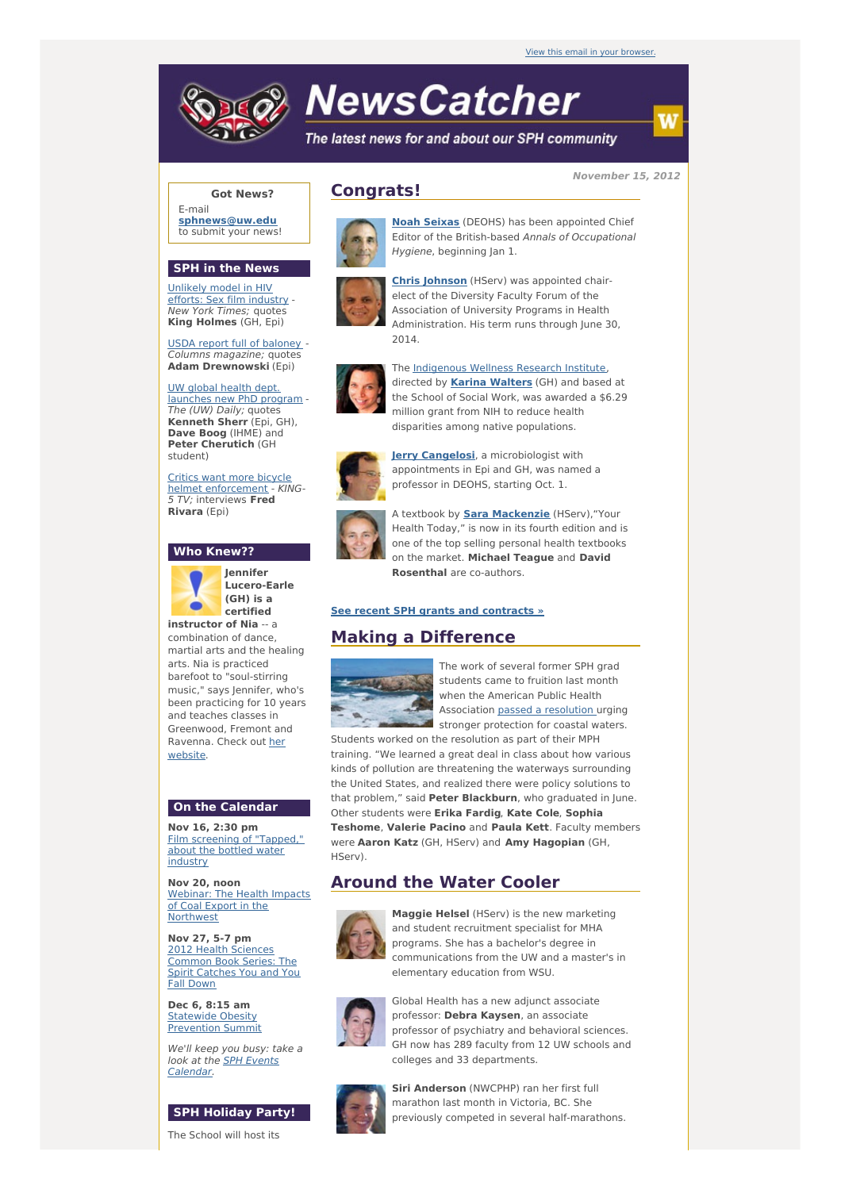

# **NewsCatcher**

The latest news for and about our SPH community

**November 15, 2012**

### **Got News?**

E-mail **[sphnews@uw.edu](mailto:sphnews@uw.edu)** to submit your news!

#### **SPH in the News**

[Unlikely](http://engage.washington.edu/site/R?i=Du-j-obpXewjAGYGoT1UnA) model in HIV efforts: Sex film industry - New York Times; quotes **King Holmes** (GH, Epi)

USDA report full of [baloney](http://engage.washington.edu/site/R?i=f_pD8ETbRncNYLJxeOtOuA) - Columns magazine; quotes **Adam Drewnowski** (Epi)

UW global health dept. [launches](http://engage.washington.edu/site/R?i=RiDI1gyB4CqnswKdPfubQw) new PhD program - The (UW) Daily; quotes **Kenneth Sherr** (Epi, GH), **Dave Boog** (IHME) and **Peter Cherutich** (GH student)

Critics want more bicycle helmet [enforcement](http://engage.washington.edu/site/R?i=rRQv_02XGkEsbcsvEF8d8Q) - KING-5 TV; interviews **Fred Rivara** (Epi)

#### **Who Knew??**



**Jennifer Lucero-Earle (GH) is a certified**

**instructor of Nia** -- a combination of dance, martial arts and the healing arts. Nia is practiced barefoot to "soul-stirring music," says Jennifer, who's been practicing for 10 years and teaches classes in Greenwood, Fremont and [Ravenna.](http://engage.washington.edu/site/R?i=4e15W47mMUkvA0buwz7l1Q) Check out her website.

### **On the Calendar**

**Nov 16, 2:30 pm** Film [screening](http://engage.washington.edu/site/R?i=CTrp57EhtNG398JDYhuBLQ) of "Tapped," about the bottled water industry

**Nov 20, noon** Webinar: The Health Impacts of Coal Export in the [Northwest](http://engage.washington.edu/site/R?i=oVrzJfAyJwe2baB98GOVTw)

**Nov 27, 5-7 pm** 2012 Health Sciences [Common](http://engage.washington.edu/site/R?i=PUnDCiMIk9mE0mOroKUO9g) Book Series: The Spirit Catches You and You Fall Down

**Dec 6, 8:15 am** Statewide Obesity [Prevention](http://engage.washington.edu/site/R?i=ExNt4NiB-3xQdAwoZFutpg) Summit

We'll keep you busy: take a look at the **SPH Events** [Calendar.](http://engage.washington.edu/site/R?i=c1xrk3zrOdlZixWFZ6hHDw)

## **SPH Holiday Party!**

The School will host its

# **Congrats!**



**Noah [Seixas](http://engage.washington.edu/site/R?i=dR9JvKl0IE6izR7mUXTP3w)** (DEOHS) has been appointed Chief Editor of the British-based Annals of Occupational Hygiene, beginning Jan 1.



**Chris [Johnson](http://engage.washington.edu/site/R?i=MCjuHDSWgtQsHVJT56Gbyw)** (HServ) was appointed chairelect of the Diversity Faculty Forum of the Association of University Programs in Health Administration. His term runs through June 30, 2014.



The [Indigenous](http://engage.washington.edu/site/R?i=3bVUS9grMb-oSWF8dvt6yw) Wellness Research Institute, directed by **Karina [Walters](http://engage.washington.edu/site/R?i=XTLQDMTxZpGWy-d2R2P35Q)** (GH) and based at the School of Social Work, was awarded a \$6.29 million grant from NIH to reduce health disparities among native populations.



**Jerry [Cangelosi](http://engage.washington.edu/site/R?i=Wo35eAOq_RMdP-O_VUU3IA)**, a microbiologist with appointments in Epi and GH, was named a professor in DEOHS, starting Oct. 1.



A textbook by **Sara [Mackenzie](http://engage.washington.edu/site/R?i=m3dLHa2UTZFywT6uQnEeAA)** (HServ),"Your Health Today," is now in its fourth edition and is one of the top selling personal health textbooks on the market. **Michael Teague** and **David Rosenthal** are co-authors.

### **See recent SPH grants and [contracts](http://engage.washington.edu/site/R?i=9U2bocmxFCK4NMSrxSrPkw) »**

# **Making a Difference**



The work of several former SPH grad students came to fruition last month when the American Public Health Association passed a [resolution](http://engage.washington.edu/site/R?i=dYMTB7kut25UcgobQ8d3tg) urging stronger protection for coastal waters.

Students worked on the resolution as part of their MPH training. "We learned a great deal in class about how various kinds of pollution are threatening the waterways surrounding the United States, and realized there were policy solutions to that problem," said **Peter Blackburn**, who graduated in June. Other students were **Erika Fardig**, **Kate Cole**, **Sophia Teshome**, **Valerie Pacino** and **Paula Kett**. Faculty members were **Aaron Katz** (GH, HServ) and **Amy Hagopian** (GH, HServ).

# **Around the Water Cooler**



**Maggie Helsel** (HServ) is the new marketing and student recruitment specialist for MHA programs. She has a bachelor's degree in communications from the UW and a master's in elementary education from WSU.



Global Health has a new adjunct associate professor: **Debra Kaysen**, an associate professor of psychiatry and behavioral sciences. GH now has 289 faculty from 12 UW schools and colleges and 33 departments.



**Siri Anderson** (NWCPHP) ran her first full marathon last month in Victoria, BC. She previously competed in several half-marathons.